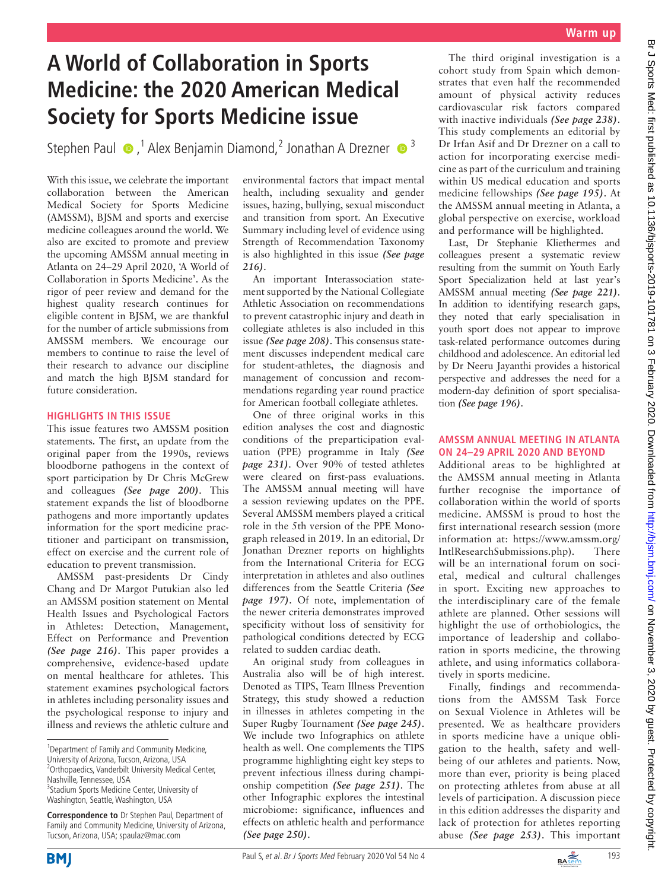## **Warm up**

# **A World of Collaboration in Sports Medicine: the 2020 American Medical Society for Sports Medicine issue**

StephenPaul  $\bullet$ ,<sup>1</sup> Alex Benjamin Diamond,<sup>2</sup> Jonathan A Drezner  $\bullet$ <sup>3</sup>

With this issue, we celebrate the important collaboration between the American Medical Society for Sports Medicine (AMSSM), BJSM and sports and exercise medicine colleagues around the world. We also are excited to promote and preview the upcoming AMSSM annual meeting in Atlanta on 24–29 April 2020, 'A World of Collaboration in Sports Medicine'. As the rigor of peer review and demand for the highest quality research continues for eligible content in BJSM, we are thankful for the number of article submissions from AMSSM members. We encourage our members to continue to raise the level of their research to advance our discipline and match the high BJSM standard for future consideration.

#### **Highlights in this issue**

This issue features two AMSSM position statements. The first, an update from the original paper from the 1990s, reviews bloodborne pathogens in the context of sport participation by Dr Chris McGrew and colleagues *(See page 200)*. This statement expands the list of bloodborne pathogens and more importantly updates information for the sport medicine practitioner and participant on transmission, effect on exercise and the current role of education to prevent transmission.

AMSSM past-presidents Dr Cindy Chang and Dr Margot Putukian also led an AMSSM position statement on Mental Health Issues and Psychological Factors in Athletes: Detection, Management, Effect on Performance and Prevention *(See page 216)*. This paper provides a comprehensive, evidence-based update on mental healthcare for athletes. This statement examines psychological factors in athletes including personality issues and the psychological response to injury and illness and reviews the athletic culture and

environmental factors that impact mental health, including sexuality and gender issues, hazing, bullying, sexual misconduct and transition from sport. An Executive Summary including level of evidence using Strength of Recommendation Taxonomy is also highlighted in this issue *(See page 216)*.

An important Interassociation statement supported by the National Collegiate Athletic Association on recommendations to prevent catastrophic injury and death in collegiate athletes is also included in this issue *(See page 208)*. This consensus statement discusses independent medical care for student-athletes, the diagnosis and management of concussion and recommendations regarding year round practice for American football collegiate athletes.

One of three original works in this edition analyses the cost and diagnostic conditions of the preparticipation evaluation (PPE) programme in Italy *(See page 231)*. Over 90% of tested athletes were cleared on first-pass evaluations. The AMSSM annual meeting will have a session reviewing updates on the PPE. Several AMSSM members played a critical role in the 5th version of the PPE Monograph released in 2019. In an editorial, Dr Jonathan Drezner reports on highlights from the International Criteria for ECG interpretation in athletes and also outlines differences from the Seattle Criteria *(See page 197)*. Of note, implementation of the newer criteria demonstrates improved specificity without loss of sensitivity for pathological conditions detected by ECG related to sudden cardiac death.

An original study from colleagues in Australia also will be of high interest. Denoted as TIPS, Team Illness Prevention Strategy, this study showed a reduction in illnesses in athletes competing in the Super Rugby Tournament *(See page 245)*. We include two Infographics on athlete health as well. One complements the TIPS programme highlighting eight key steps to prevent infectious illness during championship competition *(See page 251)*. The other Infographic explores the intestinal microbiome: significance, influences and effects on athletic health and performance *(See page 250)*.

The third original investigation is a cohort study from Spain which demonstrates that even half the recommended amount of physical activity reduces cardiovascular risk factors compared with inactive individuals *(See page 238)*. This study complements an editorial by Dr Irfan Asif and Dr Drezner on a call to action for incorporating exercise medicine as part of the curriculum and training within US medical education and sports medicine fellowships *(See page 195)*. At the AMSSM annual meeting in Atlanta, a global perspective on exercise, workload and performance will be highlighted.

Last, Dr Stephanie Kliethermes and colleagues present a systematic review resulting from the summit on Youth Early Sport Specialization held at last year's AMSSM annual meeting *(See page 221)*. In addition to identifying research gaps, they noted that early specialisation in youth sport does not appear to improve task-related performance outcomes during childhood and adolescence. An editorial led by Dr Neeru Jayanthi provides a historical perspective and addresses the need for a modern-day definition of sport specialisation *(See page 196)*.

### **AMSSM annual meeting in Atlanta on 24–29 April 2020 and Beyond**

Additional areas to be highlighted at the AMSSM annual meeting in Atlanta further recognise the importance of collaboration within the world of sports medicine. AMSSM is proud to host the first international research session (more information at: [https://www.amssm.org/](https://www.amssm.org/IntlResearchSubmissions.php) [IntlResearchSubmissions.php\)](https://www.amssm.org/IntlResearchSubmissions.php). There will be an international forum on societal, medical and cultural challenges in sport. Exciting new approaches to the interdisciplinary care of the female athlete are planned. Other sessions will highlight the use of orthobiologics, the importance of leadership and collaboration in sports medicine, the throwing athlete, and using informatics collaboratively in sports medicine.

Finally, findings and recommendations from the AMSSM Task Force on Sexual Violence in Athletes will be presented. We as healthcare providers in sports medicine have a unique obligation to the health, safety and wellbeing of our athletes and patients. Now, more than ever, priority is being placed on protecting athletes from abuse at all levels of participation. A discussion piece in this edition addresses the disparity and lack of protection for athletes reporting abuse *(See page 253)*. This important





<sup>&</sup>lt;sup>1</sup> Department of Family and Community Medicine, University of Arizona, Tucson, Arizona, USA <sup>2</sup> Orthopaedics, Vanderbilt University Medical Center, Nashville, Tennessee, USA <sup>3</sup> Stadium Sports Medicine Center, University of Washington, Seattle, Washington, USA

**Correspondence to** Dr Stephen Paul, Department of Family and Community Medicine, University of Arizona, Tucson, Arizona, USA; spaulaz@mac.com